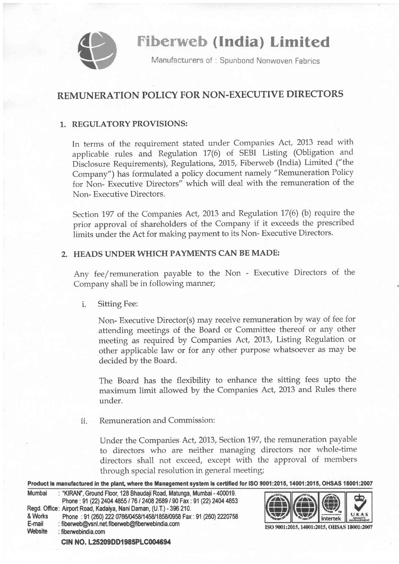

**Fiberweb (India) Limited** 

Manufacturers of: Spunbond Nonwoven Fabrics

## REMUNERATION POLICY FOR NON-EXECUTIVE DIRECTORS

## 1.. REGULATORY PROVISIONS:

In terms of the requirement stated under Companies Act, 2013 read with applicable rules and Regulation 17(6) of SEBI Listing (Obligation and Disclosure Requirements), Regulations, 2015, Fiberweb (India) Limited ("the Company") has formulated a policy document namely "Remuneration Policy for Non- Executive Directors" which will deal with the remuneration of the Non- Executive Directors.

Section 197 of the Companies Act, 2013 and Regulation 17(6) (b) require the prior approval of shareholders of the Company if it exceeds the prescribed limits under the Act for making payment to its Non- Executive Directors.

## 2. HEADS UNDERWHICH PAYMENTS CAN BE MADE:

Any fee/remuneration payable to the Non - Executive Directors of the Company shall be in following manner;

i. Sitting Fee:

> Non- Executive Director(s) may receive remuneration by way of fee for attending meetings of the Board or Committee thereof or any other meeting as required by Companies Act, 2013, Listing Regulation or other applicable law or for any other Purpose whatsoever as may be decided by the Board.

> The Board has the flexibility to enhance the sitting fees upto the maximum limit allowed by the Companies Act,2013 and Rules there under.

Remuneration and Commission: 11

> Under the Companies Act,2013, Section 197, the remuneration payable to directors who are neither managing directors nor whole-time directors shall not exceed, except with the approval of members through special resolution in general meeting;

Product is manufactured in the plant, where the Management system is certified for ISO 9001:2015, 14001:2015, OHSAS 18001:2007

| Mumbai  | : "KIRAN", Ground Floor, 128 Bhaudaii Road, Matunga, Mumbai - 400019. |
|---------|-----------------------------------------------------------------------|
|         | Phone: 91 (22) 2404 4855 / 76 / 2408 2689 / 90 Fax: 91 (22) 2404 4853 |
|         | Regd. Office: Airport Road, Kadaiya, Nani Daman, (U.T.) - 396 210.    |
| & Works | Phone: 91 (260) 222 0766/0458/1458/1858/0958 Fax: 91 (260) 2220758    |
| E-mail  | : fiberweb@vsnl.net.fiberweb@fiberwebindia.com                        |
| Website | $:$ fiberwebindia.com                                                 |
|         |                                                                       |



ISO 9001:2015, 14001:2015, OHSAS 18001:2007